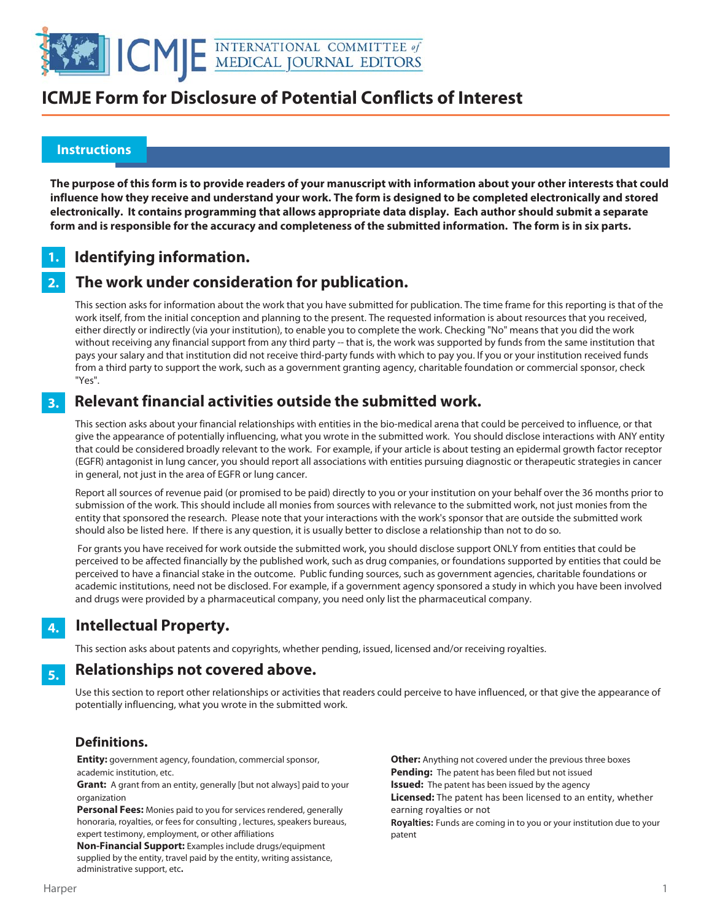

### **Instructions**

 

> **The purpose of this form is to provide readers of your manuscript with information about your other interests that could influence how they receive and understand your work. The form is designed to be completed electronically and stored electronically. It contains programming that allows appropriate data display. Each author should submit a separate form and is responsible for the accuracy and completeness of the submitted information. The form is in six parts.**

#### **Identifying information. 1.**

#### **The work under consideration for publication. 2.**

This section asks for information about the work that you have submitted for publication. The time frame for this reporting is that of the work itself, from the initial conception and planning to the present. The requested information is about resources that you received, either directly or indirectly (via your institution), to enable you to complete the work. Checking "No" means that you did the work without receiving any financial support from any third party -- that is, the work was supported by funds from the same institution that pays your salary and that institution did not receive third-party funds with which to pay you. If you or your institution received funds from a third party to support the work, such as a government granting agency, charitable foundation or commercial sponsor, check "Yes".

#### **Relevant financial activities outside the submitted work. 3.**

This section asks about your financial relationships with entities in the bio-medical arena that could be perceived to influence, or that give the appearance of potentially influencing, what you wrote in the submitted work. You should disclose interactions with ANY entity that could be considered broadly relevant to the work. For example, if your article is about testing an epidermal growth factor receptor (EGFR) antagonist in lung cancer, you should report all associations with entities pursuing diagnostic or therapeutic strategies in cancer in general, not just in the area of EGFR or lung cancer.

Report all sources of revenue paid (or promised to be paid) directly to you or your institution on your behalf over the 36 months prior to submission of the work. This should include all monies from sources with relevance to the submitted work, not just monies from the entity that sponsored the research. Please note that your interactions with the work's sponsor that are outside the submitted work should also be listed here. If there is any question, it is usually better to disclose a relationship than not to do so.

 For grants you have received for work outside the submitted work, you should disclose support ONLY from entities that could be perceived to be affected financially by the published work, such as drug companies, or foundations supported by entities that could be perceived to have a financial stake in the outcome. Public funding sources, such as government agencies, charitable foundations or academic institutions, need not be disclosed. For example, if a government agency sponsored a study in which you have been involved and drugs were provided by a pharmaceutical company, you need only list the pharmaceutical company.

#### **Intellectual Property. 4.**

This section asks about patents and copyrights, whether pending, issued, licensed and/or receiving royalties.

#### **Relationships not covered above. 5.**

Use this section to report other relationships or activities that readers could perceive to have influenced, or that give the appearance of potentially influencing, what you wrote in the submitted work.

### **Definitions.**

**Entity:** government agency, foundation, commercial sponsor, academic institution, etc.

**Grant:** A grant from an entity, generally [but not always] paid to your organization

**Personal Fees:** Monies paid to you for services rendered, generally honoraria, royalties, or fees for consulting , lectures, speakers bureaus, expert testimony, employment, or other affiliations

**Non-Financial Support:** Examples include drugs/equipment supplied by the entity, travel paid by the entity, writing assistance, administrative support, etc**.**

**Other:** Anything not covered under the previous three boxes **Pending:** The patent has been filed but not issued **Issued:** The patent has been issued by the agency **Licensed:** The patent has been licensed to an entity, whether earning royalties or not

**Royalties:** Funds are coming in to you or your institution due to your patent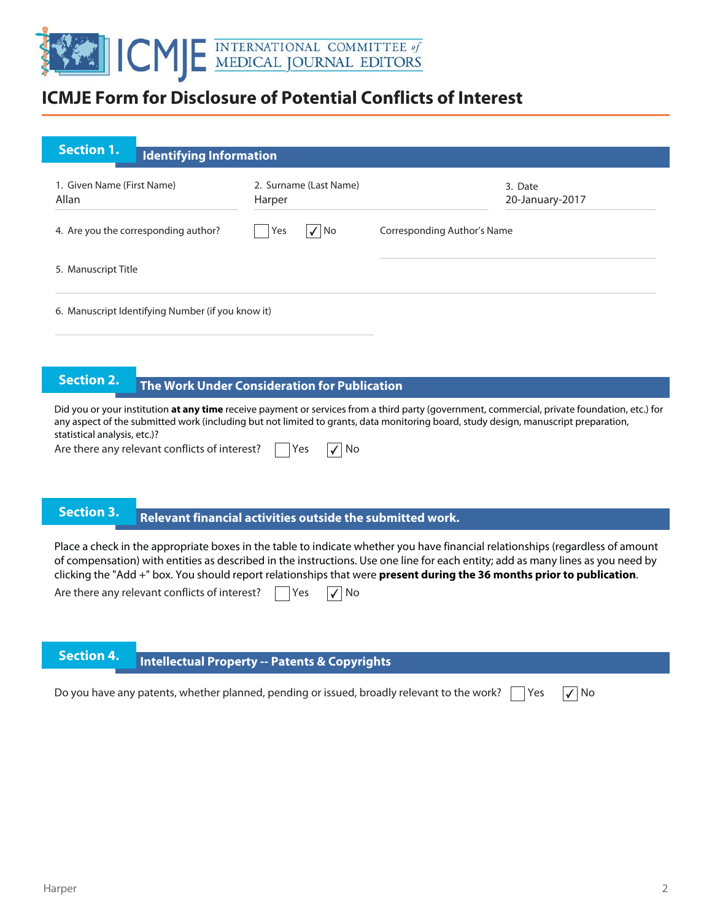

| <b>Section 1.</b>                    | <b>Identifying Information</b>                    |                                  |                                                |  |                            |  |  |  |  |  |
|--------------------------------------|---------------------------------------------------|----------------------------------|------------------------------------------------|--|----------------------------|--|--|--|--|--|
| 1. Given Name (First Name)<br>Allan  |                                                   | 2. Surname (Last Name)<br>Harper |                                                |  | 3. Date<br>20-January-2017 |  |  |  |  |  |
| 4. Are you the corresponding author? |                                                   | Yes                              | $\sqrt{ N_{0}}$<br>Corresponding Author's Name |  |                            |  |  |  |  |  |
| 5. Manuscript Title                  |                                                   |                                  |                                                |  |                            |  |  |  |  |  |
|                                      | 6. Manuscript Identifying Number (if you know it) |                                  |                                                |  |                            |  |  |  |  |  |

**The Work Under Consideration for Publication** 

Did you or your institution **at any time** receive payment or services from a third party (government, commercial, private foundation, etc.) for any aspect of the submitted work (including but not limited to grants, data monitoring board, study design, manuscript preparation, statistical analysis, etc.)?

| Are there any relevant conflicts of interest? |  | <b>Yes</b> |  | $\sqrt{ }$ No |
|-----------------------------------------------|--|------------|--|---------------|
|-----------------------------------------------|--|------------|--|---------------|

# **Relevant financial activities outside the submitted work. Section 3. Relevant financial activities outset**

Place a check in the appropriate boxes in the table to indicate whether you have financial relationships (regardless of amount of compensation) with entities as described in the instructions. Use one line for each entity; add as many lines as you need by clicking the "Add +" box. You should report relationships that were **present during the 36 months prior to publication**.

| Are there any relevant conflicts of interest? |  | <b>Yes</b> |  | $\sqrt{\ }$ No |
|-----------------------------------------------|--|------------|--|----------------|
|-----------------------------------------------|--|------------|--|----------------|

## **Intellectual Property -- Patents & Copyrights**

Do you have any patents, whether planned, pending or issued, broadly relevant to the work?  $\Box$  Yes  $\Box$  No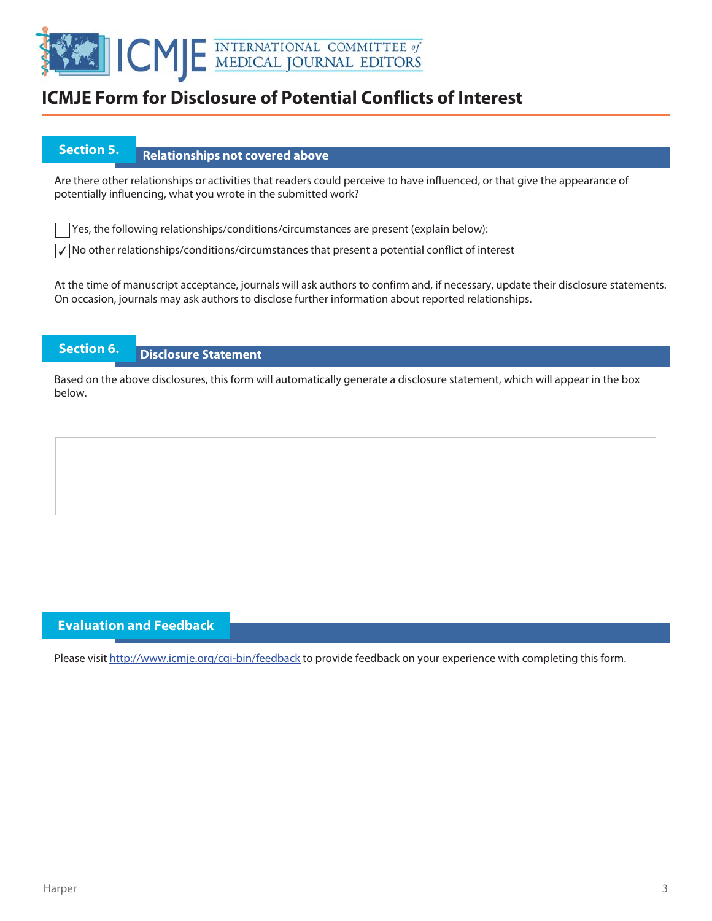

### **Section 5.** Relationships not covered above

Are there other relationships or activities that readers could perceive to have influenced, or that give the appearance of potentially influencing, what you wrote in the submitted work?

Yes, the following relationships/conditions/circumstances are present (explain below):

 $\sqrt{\ }$  No other relationships/conditions/circumstances that present a potential conflict of interest

At the time of manuscript acceptance, journals will ask authors to confirm and, if necessary, update their disclosure statements. On occasion, journals may ask authors to disclose further information about reported relationships.

### **Section 6. Disclosure Statement**

Based on the above disclosures, this form will automatically generate a disclosure statement, which will appear in the box below.

### **Evaluation and Feedback**

Please visit http://www.icmje.org/cgi-bin/feedback to provide feedback on your experience with completing this form.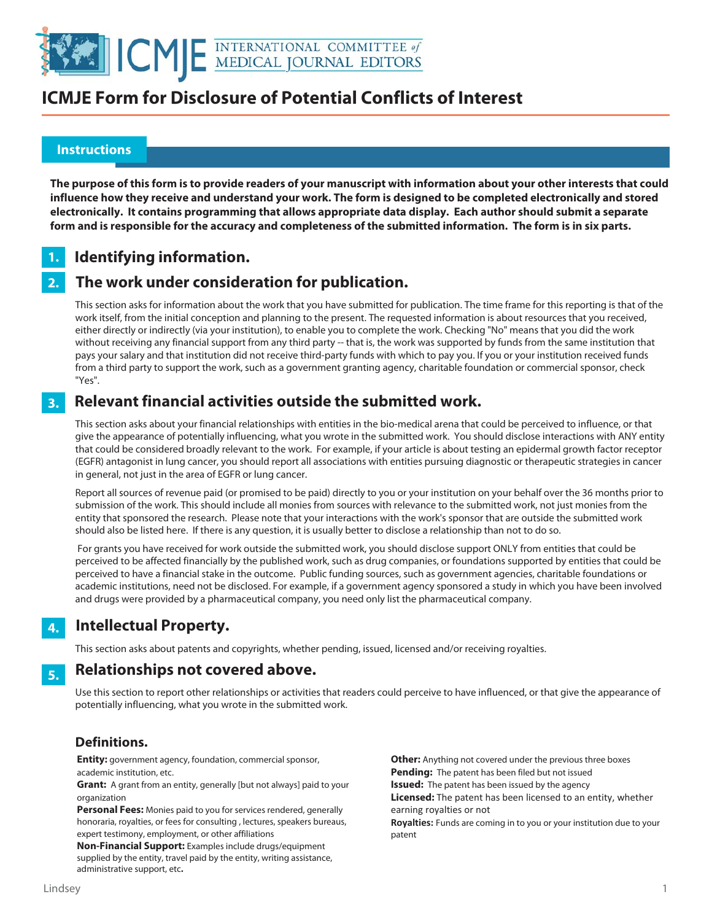

### **Instructions**

 

> **The purpose of this form is to provide readers of your manuscript with information about your other interests that could influence how they receive and understand your work. The form is designed to be completed electronically and stored electronically. It contains programming that allows appropriate data display. Each author should submit a separate form and is responsible for the accuracy and completeness of the submitted information. The form is in six parts.**

#### **Identifying information. 1.**

#### **The work under consideration for publication. 2.**

This section asks for information about the work that you have submitted for publication. The time frame for this reporting is that of the work itself, from the initial conception and planning to the present. The requested information is about resources that you received, either directly or indirectly (via your institution), to enable you to complete the work. Checking "No" means that you did the work without receiving any financial support from any third party -- that is, the work was supported by funds from the same institution that pays your salary and that institution did not receive third-party funds with which to pay you. If you or your institution received funds from a third party to support the work, such as a government granting agency, charitable foundation or commercial sponsor, check "Yes".

#### **Relevant financial activities outside the submitted work. 3.**

This section asks about your financial relationships with entities in the bio-medical arena that could be perceived to influence, or that give the appearance of potentially influencing, what you wrote in the submitted work. You should disclose interactions with ANY entity that could be considered broadly relevant to the work. For example, if your article is about testing an epidermal growth factor receptor (EGFR) antagonist in lung cancer, you should report all associations with entities pursuing diagnostic or therapeutic strategies in cancer in general, not just in the area of EGFR or lung cancer.

Report all sources of revenue paid (or promised to be paid) directly to you or your institution on your behalf over the 36 months prior to submission of the work. This should include all monies from sources with relevance to the submitted work, not just monies from the entity that sponsored the research. Please note that your interactions with the work's sponsor that are outside the submitted work should also be listed here. If there is any question, it is usually better to disclose a relationship than not to do so.

 For grants you have received for work outside the submitted work, you should disclose support ONLY from entities that could be perceived to be affected financially by the published work, such as drug companies, or foundations supported by entities that could be perceived to have a financial stake in the outcome. Public funding sources, such as government agencies, charitable foundations or academic institutions, need not be disclosed. For example, if a government agency sponsored a study in which you have been involved and drugs were provided by a pharmaceutical company, you need only list the pharmaceutical company.

#### **Intellectual Property. 4.**

This section asks about patents and copyrights, whether pending, issued, licensed and/or receiving royalties.

#### **Relationships not covered above. 5.**

Use this section to report other relationships or activities that readers could perceive to have influenced, or that give the appearance of potentially influencing, what you wrote in the submitted work.

### **Definitions.**

**Entity:** government agency, foundation, commercial sponsor, academic institution, etc.

**Grant:** A grant from an entity, generally [but not always] paid to your organization

**Personal Fees:** Monies paid to you for services rendered, generally honoraria, royalties, or fees for consulting , lectures, speakers bureaus, expert testimony, employment, or other affiliations

**Non-Financial Support:** Examples include drugs/equipment supplied by the entity, travel paid by the entity, writing assistance, administrative support, etc**.**

**Other:** Anything not covered under the previous three boxes **Pending:** The patent has been filed but not issued **Issued:** The patent has been issued by the agency **Licensed:** The patent has been licensed to an entity, whether earning royalties or not

**Royalties:** Funds are coming in to you or your institution due to your patent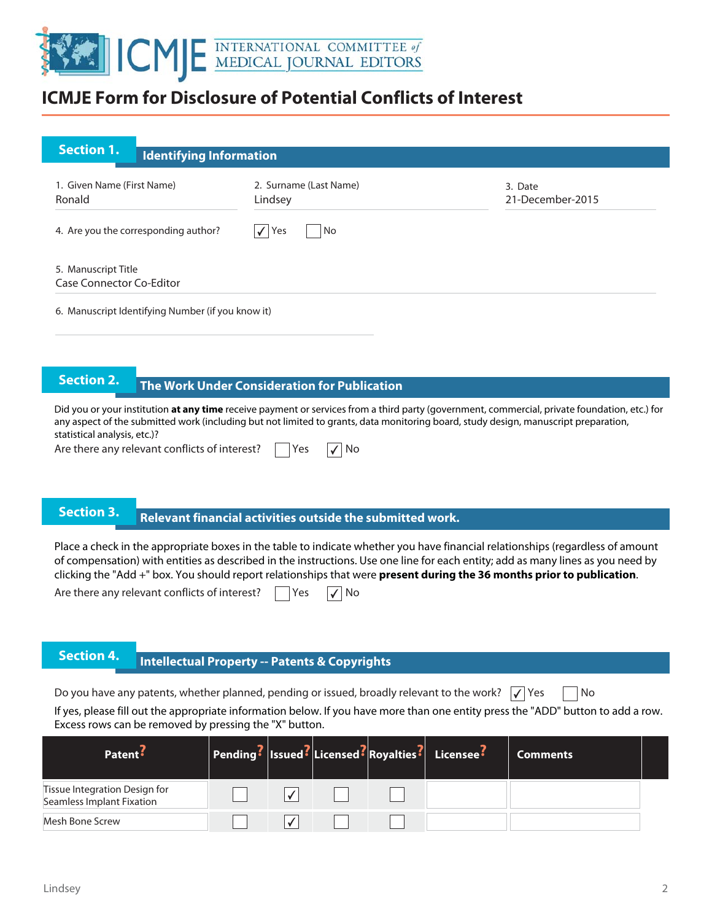

| <b>Section 1.</b><br><b>Identifying Information</b> |                                   |                             |
|-----------------------------------------------------|-----------------------------------|-----------------------------|
| 1. Given Name (First Name)<br>Ronald                | 2. Surname (Last Name)<br>Lindsey | 3. Date<br>21-December-2015 |
| 4. Are you the corresponding author?                | $\sqrt{Y}$<br>No                  |                             |
| 5. Manuscript Title<br>Case Connector Co-Editor     |                                   |                             |
| 6. Manuscript Identifying Number (if you know it)   |                                   |                             |

## **The Work Under Consideration for Publication**

Did you or your institution **at any time** receive payment or services from a third party (government, commercial, private foundation, etc.) for any aspect of the submitted work (including but not limited to grants, data monitoring board, study design, manuscript preparation, statistical analysis, etc.)?

Are there any relevant conflicts of interest?  $\Box$  Yes  $\Box$  No

## **Relevant financial activities outside the submitted work. Section 3. Relevant financial activities outset**

Place a check in the appropriate boxes in the table to indicate whether you have financial relationships (regardless of amount of compensation) with entities as described in the instructions. Use one line for each entity; add as many lines as you need by clicking the "Add +" box. You should report relationships that were **present during the 36 months prior to publication**.

Are there any relevant conflicts of interest?  $\Box$  Yes  $\Box$  No

## **Intellectual Property -- Patents & Copyrights Section 4.**

Do you have any patents, whether planned, pending or issued, broadly relevant to the work?  $\vert \sqrt{\vert}$  Yes  $\vert$  No

If yes, please fill out the appropriate information below. If you have more than one entity press the "ADD" button to add a row. Excess rows can be removed by pressing the "X" button.

| Patent <sup>5</sup>                                        |  |  | $\sqrt{2}$ Pending $\sqrt{3}$   Issued $\sqrt{3}$   Licensee $\sqrt{3}$   Licensee $\sqrt{3}$   Licensee $\sqrt{3}$ | <b>Comments</b> |  |
|------------------------------------------------------------|--|--|---------------------------------------------------------------------------------------------------------------------|-----------------|--|
| Tissue Integration Design for<br>Seamless Implant Fixation |  |  |                                                                                                                     |                 |  |
| Mesh Bone Screw                                            |  |  |                                                                                                                     |                 |  |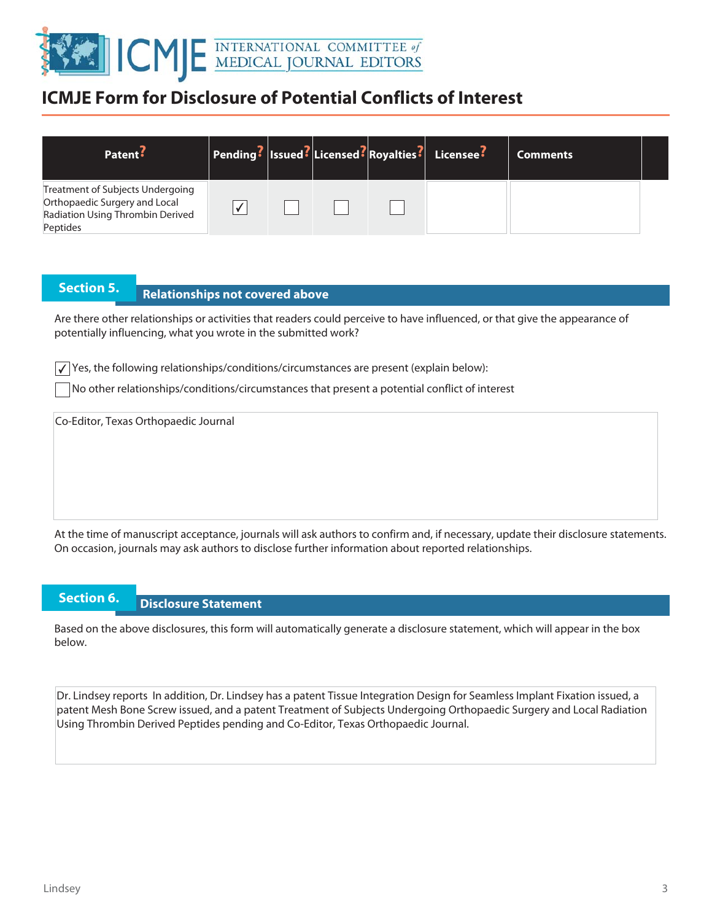

| <b>Patent:</b>                                                                                                    |  |  | $\vert$ Pending? $\vert$ Issued? Licensed? Royalties? Licensee? | <b>Comments</b> |  |
|-------------------------------------------------------------------------------------------------------------------|--|--|-----------------------------------------------------------------|-----------------|--|
| Treatment of Subjects Undergoing<br>Orthopaedic Surgery and Local<br>Radiation Using Thrombin Derived<br>Peptides |  |  |                                                                 |                 |  |

### **Section 5.** Relationships not covered above

Are there other relationships or activities that readers could perceive to have influenced, or that give the appearance of potentially influencing, what you wrote in the submitted work?

 $\sqrt{\ }$  Yes, the following relationships/conditions/circumstances are present (explain below):

No other relationships/conditions/circumstances that present a potential conflict of interest

Co-Editor, Texas Orthopaedic Journal

At the time of manuscript acceptance, journals will ask authors to confirm and, if necessary, update their disclosure statements. On occasion, journals may ask authors to disclose further information about reported relationships.

### **Section 6. Disclosure Statement**

Based on the above disclosures, this form will automatically generate a disclosure statement, which will appear in the box below.

Dr. Lindsey reports In addition, Dr. Lindsey has a patent Tissue Integration Design for Seamless Implant Fixation issued, a patent Mesh Bone Screw issued, and a patent Treatment of Subjects Undergoing Orthopaedic Surgery and Local Radiation Using Thrombin Derived Peptides pending and Co-Editor, Texas Orthopaedic Journal.